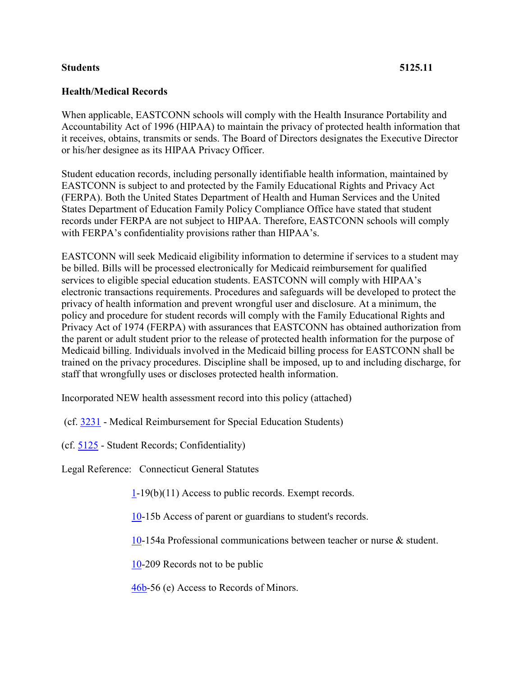## **Students 5125.11**

## **Health/Medical Records**

When applicable, EASTCONN schools will comply with the Health Insurance Portability and Accountability Act of 1996 (HIPAA) to maintain the privacy of protected health information that it receives, obtains, transmits or sends. The Board of Directors designates the Executive Director or his/her designee as its HIPAA Privacy Officer.

Student education records, including personally identifiable health information, maintained by EASTCONN is subject to and protected by the Family Educational Rights and Privacy Act (FERPA). Both the United States Department of Health and Human Services and the United States Department of Education Family Policy Compliance Office have stated that student records under FERPA are not subject to HIPAA. Therefore, EASTCONN schools will comply with FERPA's confidentiality provisions rather than HIPAA's.

EASTCONN will seek Medicaid eligibility information to determine if services to a student may be billed. Bills will be processed electronically for Medicaid reimbursement for qualified services to eligible special education students. EASTCONN will comply with HIPAA's electronic transactions requirements. Procedures and safeguards will be developed to protect the privacy of health information and prevent wrongful user and disclosure. At a minimum, the policy and procedure for student records will comply with the Family Educational Rights and Privacy Act of 1974 (FERPA) with assurances that EASTCONN has obtained authorization from the parent or adult student prior to the release of protected health information for the purpose of Medicaid billing. Individuals involved in the Medicaid billing process for EASTCONN shall be trained on the privacy procedures. Discipline shall be imposed, up to and including discharge, for staff that wrongfully uses or discloses protected health information.

Incorporated NEW health assessment record into this policy (attached)

(cf. [3231](http://z2policy.cabe.org/cabe/DocViewer.jsp?docid=94&z2collection=core#JD_3231) - Medical Reimbursement for Special Education Students)

(cf. [5125](http://z2policy.cabe.org/cabe/DocViewer.jsp?docid=254&z2collection=core#JD_5125) - Student Records; Confidentiality)

Legal Reference: Connecticut General Statutes

[1-](http://www.cga.ct.gov/2011/pub/Title1.htm)19(b)(11) Access to public records. Exempt records.

[10-](http://www.cga.ct.gov/2011/pub/Title10.htm)15b Access of parent or guardians to student's records.

[10-](http://www.cga.ct.gov/2011/pub/Title10.htm)154a Professional communications between teacher or nurse & student.

[10-](http://www.cga.ct.gov/2011/pub/Title10.htm)209 Records not to be public

[46b-](http://www.cga.ct.gov/2011/pub/Title46b.htm)56 (e) Access to Records of Minors.